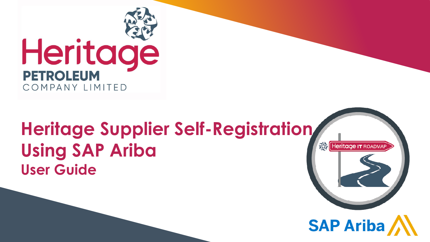

# **Heritage Supplier Self-Registration Using SAP Ariba User Guide**



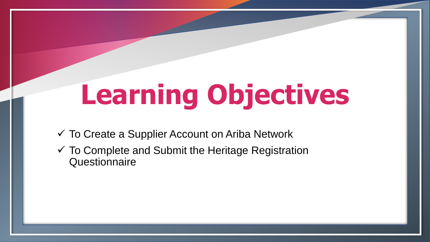# **Learning Objectives**

- $\checkmark$  To Create a Supplier Account on Ariba Network
- $\checkmark$  To Complete and Submit the Heritage Registration **Questionnaire**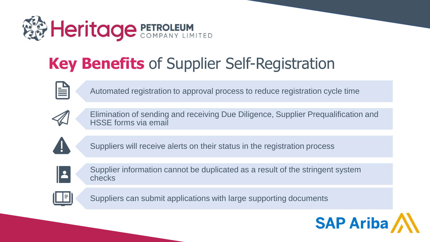

# **Key Benefits** of Supplier Self-Registration

Automated registration to approval process to reduce registration cycle time



Elimination of sending and receiving Due Diligence, Supplier Prequalification and HSSE forms via email



Suppliers will receive alerts on their status in the registration process



Supplier information cannot be duplicated as a result of the stringent system checks



Suppliers can submit applications with large supporting documents

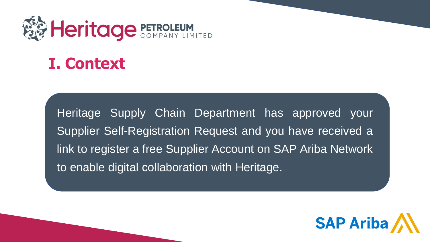

## **I. Context**

Heritage Supply Chain Department has approved your Supplier Self-Registration Request and you have received a link to register a free Supplier Account on SAP Ariba Network to enable digital collaboration with Heritage.

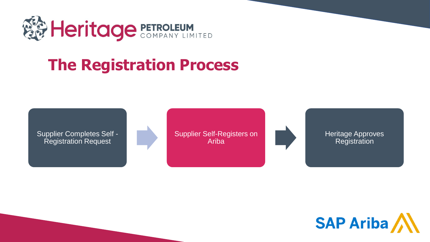

# **The Registration Process**

Supplier Completes Self - Registration Request

Supplier Self-Registers on Ariba



Heritage Approves **Registration** 

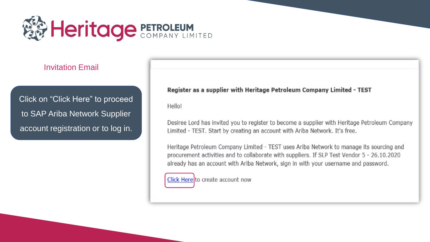

### Invitation Email

Click on "Click Here" to proceed to SAP Ariba Network Supplier account registration or to log in.

### Register as a supplier with Heritage Petroleum Company Limited - TEST

Hello!

Desiree Lord has invited you to register to become a supplier with Heritage Petroleum Company Limited - TEST. Start by creating an account with Ariba Network. It's free.

Heritage Petroleum Company Limited - TEST uses Ariba Network to manage its sourcing and procurement activities and to collaborate with suppliers. If SLP Test Vendor 5 - 26.10.2020 already has an account with Ariba Network, sign in with your username and password.

Click Here to create account now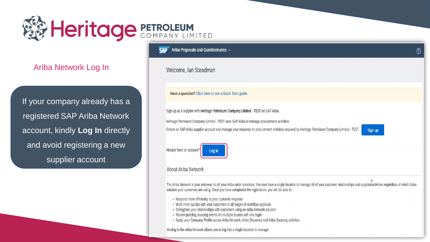

Ariba Network Log In

If your company already has a registered SAP Ariba Network account, kindly Log In directly and avoid registering a new supplier account

Ariba Proposals and Questionnaires  $\sim$ **SAD** 

Welcome, Ian Steadman

Have a question? Click here to see a Quick Start guide.

Sign up as a supplier with Heritage Petroleum Company Limited - TEST on SAP Ariba.

Heritage Petroleum Company Limited - TEST uses SAP Ariba to manage procurement activities.

Create an SAP Ariba supplier account and manage your response to procurement activities required by Heritage Petroleum Company Limited - TEST.

Already have an account? Log in

#### About Ariba Network

The Ariba Network is your entryway to all your Ariba seller solutions. You now have a single location to manage all of your customer relationships and supplier activities regardless of which Ariba solution your customers are using. Once you have completed the registration, you will be able to:

- Respond more efficiently to your customer requests
- Work more quickly with your customers in all stages of workflow approval
- Strengthen your relationships with customers using an Ariba Network solution
- Review pending sourcing events for multiple buyers with one login
- Apply your Company Profile across Ariba Network, Ariba Discovery and Ariba Sourcing activities

Moving to the Ariba Network allows you to log into a single location to manage:

 $\circledR$ 

Sign up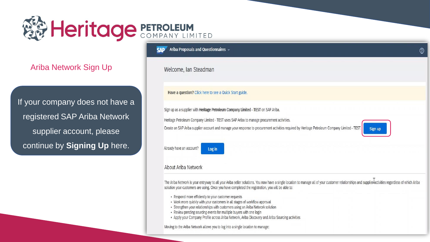

**Ariba Network Sign Up** 

If your company does not have a registered SAP Ariba Network supplier account, please continue by Signing Up here.

Ariba Proposals and Questionnaires -**SAP** 

Welcome, Ian Steadman

Have a question? Click here to see a Quick Start guide.

Sign up as a supplier with Heritage Petroleum Company Limited - TEST on SAP Ariba.

Heritage Petroleum Company Limited - TEST uses SAP Ariba to manage procurement activities.

Create an SAP Ariba supplier account and manage your response to procurement activities required by Heritage Petroleum Company Limited - TEST.



Already have an account? Log in

### About Ariba Network

The Ariba Network is your entryway to all your Ariba seller solutions. You now have a single location to manage all of your customer relationships and supplier activities regardless of which Ariba solution your customers are using. Once you have completed the registration, you will be able to:

- Respond more efficiently to your customer requests
- Work more quickly with your customers in all stages of workflow approval
- Strengthen your relationships with customers using an Ariba Network solution
- Review pending sourcing events for multiple buyers with one login
- Apply your Company Profile across Ariba Network, Ariba Discovery and Ariba Sourcing activities

Moving to the Ariba Network allows you to log into a single location to manage: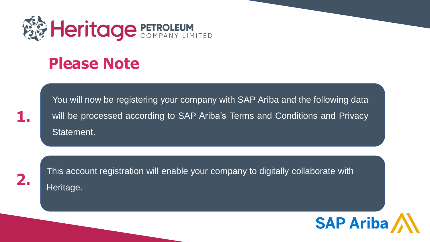

## **Please Note**

You will now be registering your company with SAP Ariba and the following data will be processed according to SAP Ariba's Terms and Conditions and Privacy Statement.



**1.**

This account registration will enable your company to digitally collaborate with Heritage.

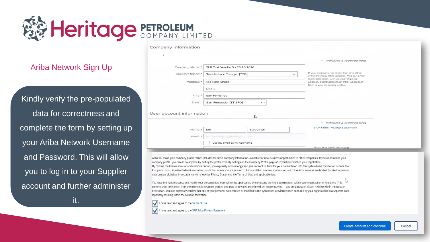# **FA Heritage PETROLEUM**

## **Ariba Network Sign Up**

Kindly verify the pre-populated data for correctness and complete the form by setting up your Ariba Network Username and Password. This will allow you to log in to your Supplier account and further administer

it.

|                                                                |                                       | * Indicates a required field                                                                                          |
|----------------------------------------------------------------|---------------------------------------|-----------------------------------------------------------------------------------------------------------------------|
| Company Name: *                                                | SLP Test Vendor 5 - 26.10.2020        |                                                                                                                       |
| Country/Region: *<br>Trinidad and Tobago [TTO]<br>$\checkmark$ |                                       | If your company has more than one office,<br>enter the main office address. You can enter                             |
| Address: *                                                     | 111 East Street                       | more addresses such as your shipping<br>address, billing address or other addresses<br>later in your company profile. |
|                                                                | Line 2                                |                                                                                                                       |
| City: *                                                        | San Fernando                          |                                                                                                                       |
| State:                                                         | San Fernando [TT-SFO]<br>$\checkmark$ |                                                                                                                       |
| User account information                                       | $\approx$                             |                                                                                                                       |
|                                                                |                                       | * Indicates a required field                                                                                          |
| Name:*                                                         | Steadman<br>lan                       | <b>SAP Ariba Privacy Statement</b>                                                                                    |
| Email: *                                                       | ian.steadman@heritage-tt.com          |                                                                                                                       |
|                                                                | Use my email as my username           |                                                                                                                       |
|                                                                |                                       | Must be in email format(e.g                                                                                           |

Ariba will make your company profile, which includes the basic company information, available for new business opportunities to other companies. If you want to hide your company profile, you can do so anytime by editing the profile visibility settings on the Company Profile page after you have finished your registration. By clicking the Create account and continue button, you expressly acknowledge and give consent to Ariba for your data entered into this system to be transferred outside the European Union, Russian Federation or other jurisdiction where you are located to Ariba and the computer systems on which the Ariba services are hosted (located in various data centers globally), in accordance with the Ariba Privacy Statement, the Terms of Use, and applicable law.

You have the right to access and modify your personal data from within the application, by contacting the Ariba administrator within your organization or Ariba. Inc. This consent shall be in effect from the moment it has been granted and may be revoked by prior written notice to Ariba. If you are a Russian citizen residing within the Russian Federation. You also expressly confirm that any of your personal data entered or modified in the system has previously been captured by your organization in a separate data repository residing within the Russian federation.

 $\checkmark$ I have read and agree to the Terms of Use

Company information

I have read and agree to the SAP Ariba Privacy Statement

Cancel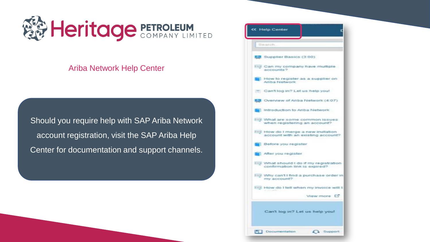

### Ariba Network Help Center

Should you require help with SAP Ariba Network account registration, visit the SAP Ariba Help Center for documentation and support channels.

| <b>KK Help Center</b>                                                     |
|---------------------------------------------------------------------------|
| Search.                                                                   |
| Supplier Basics (3:00)                                                    |
| has Can my company have multiple<br>accounts?                             |
| How to register as a supplier on<br>Ariba Network                         |
| Can't log in? Let us help you!                                            |
| <b>EX</b> Overview of Ariba Network (4:07)                                |
| Introduction to Ariba Network                                             |
| the What are some common issues<br>when registering an account?           |
| Fell How do I merge a new invitation<br>account with an existing account? |
| Before you register                                                       |
| After you register                                                        |
| exy What should I do if my registration<br>confirmation link is expired?  |
| limal Why can't I find a purchase order in<br>my account?                 |
| FASE How do I tell when my invoice will t                                 |
| View more                                                                 |
| Can't log in? Let us help you!                                            |
| Documentation<br>A Support                                                |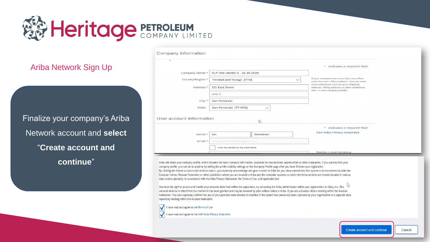

### Ariba Network Sign Up

Finalize your company's Ariba Network account and **select** "**Create account and continue**"

|                          |                                           | * Indicates a required field                                                                                          |
|--------------------------|-------------------------------------------|-----------------------------------------------------------------------------------------------------------------------|
| Company Name:*           | SLP Test Vendor 5 - 26.10.2020            |                                                                                                                       |
| Country/Region:*         | Trinidad and Tobago [TTO]<br>$\checkmark$ | If your company has more than one office,<br>enter the main office address. You can enter                             |
| Address:*                | 111 East Street                           | more addresses such as your shipping<br>address, billing address or other addresses<br>later in your company profile. |
|                          | Line 2                                    |                                                                                                                       |
| City: *                  | San Fernando                              |                                                                                                                       |
| State:                   | San Fernando [TT-SFO]<br>$\checkmark$     |                                                                                                                       |
| User account information | $\mathbb{Z}$                              |                                                                                                                       |
|                          |                                           | * Indicates a required field                                                                                          |
| Name:*                   | Steadman<br>lan                           | <b>SAP Ariba Privacy Statement</b>                                                                                    |
| Email: *                 | ian.steadman@heritage-tt.com              |                                                                                                                       |
|                          | Use my email as my username               |                                                                                                                       |
|                          |                                           | Must be in email format(e.g                                                                                           |

Ariba will make your company profile, which includes the basic company information, available for new business opportunities to other companies. If you want to hide your company profile, you can do so anytime by editing the profile visibility settings on the Company Profile page after you have finished your registration. By clicking the Create account and continue button, you expressly acknowledge and give consent to Ariba for your data entered into this system to be transferred outside the European Union, Russian Federation or other jurisdiction where you are located to Ariba and the computer systems on which the Ariba services are hosted (located in various data centers globally), in accordance with the Ariba Privacy Statement, the Terms of Use, and applicable law.

You have the right to access and modify your personal data from within the application, by contacting the Ariba administrator within your organization or Ariba, Inc. This consent shall be in effect from the moment it has been granted and may be revoked by prior written notice to Ariba. If you are a Russian citizen residing within the Russian Federation, You also expressly confirm that any of your personal data entered or modified in the system has previously been captured by your organization in a separate data repository residing within the Russian federation.

I have read and agree to the Terms of Use

I have read and agree to the SAP Ariba Privacy Statement

Cancel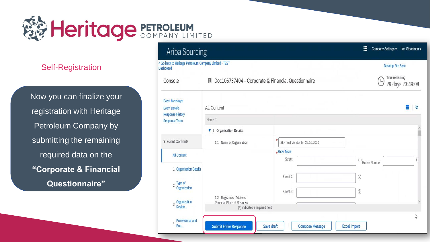

Now you can finalize your registration with Heritage Petroleum Company by submitting the remaining required data on the **"Corporate & Financial Questionnaire"**

| <b>Ariba Sourcing</b>                                                                     |                                                                      | m                                                                                        | Company Settings v<br>lan Steadman v    |
|-------------------------------------------------------------------------------------------|----------------------------------------------------------------------|------------------------------------------------------------------------------------------|-----------------------------------------|
| < Go back to Heritage Petroleum Company Limited - TEST<br><b>Dashboard</b>                |                                                                      |                                                                                          | <b>Desktop File Sync</b>                |
| Console                                                                                   | Doc106737404 - Corporate & Financial Questionnaire<br>猫              |                                                                                          | Time remaining<br>L<br>29 days 23:49:08 |
| <b>Event Messages</b><br><b>Event Details</b><br><b>Response History</b>                  | All Content                                                          |                                                                                          | Ŧ<br>∀                                  |
| <b>Response Team</b>                                                                      | Name 1                                                               |                                                                                          |                                         |
|                                                                                           | <b>v</b> 1 Organisation Details                                      |                                                                                          |                                         |
| <b>v</b> Event Contents                                                                   | 1.1 Name of Organisation                                             | SLP Test Vendor 5 - 26.10.2020                                                           |                                         |
| <b>All Content</b><br>1 Organisation Details<br>Type of<br>$\overline{2}$<br>Organization | 1.2 Registered Address/                                              | *Show More<br>Street:<br>$_{\odot}$<br>House Number:<br>Street 2:<br>0<br>Street 3:<br>⊙ |                                         |
| Organization<br>3<br>Registr                                                              | <b>Principal Place of Business</b><br>(*) indicates a required field |                                                                                          |                                         |
| Professional and<br>4<br>Bus                                                              | <b>Submit Entire Response</b>                                        | Save draft<br><b>Compose Message</b><br><b>Excel Import</b>                              | p2                                      |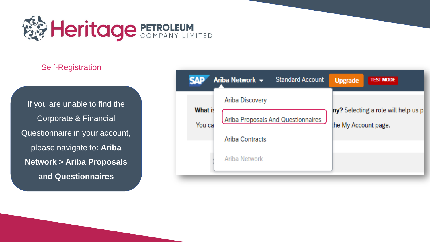

If you are unable to find the Corporate & Financial Questionnaire in your account, please navigate to: **Ariba Network > Ariba Proposals and Questionnaires**

| AP                | <b>Standard Account</b><br>Ariba Network $\sim$ | <b>Upgrade</b>                                              | <b>TEST MODE</b> |
|-------------------|-------------------------------------------------|-------------------------------------------------------------|------------------|
|                   | Ariba Discovery                                 |                                                             |                  |
| What is<br>You ca | Ariba Proposals And Questionnaires              | ny? Selecting a role will help us p<br>the My Account page. |                  |
|                   | <b>Ariba Contracts</b>                          |                                                             |                  |
|                   | Ariba Network                                   |                                                             |                  |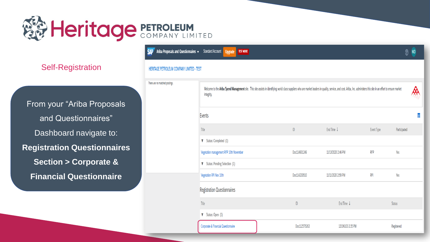

From your "Ariba Proposals and Questionnaires" Dashboard navigate to: **Registration Questionnaires Section > Corporate & Financial Questionnaire**

#### **Ariba Proposals and Questionnaires**  $\rightarrow$  Standard Account **Upgrade TEST MODE CAD**

#### HERITAGE PETROLEUM COMPANY LIMITED - TEST

| There are no matched postings. | Welcome to the Ariba Spend Management site. This site assists in identifying world class suppliers who are market leaders in quality, service, and cost. Ariba, Inc. administers this site in an effort to ensure market<br>integrity. |              |                    |            |               |
|--------------------------------|----------------------------------------------------------------------------------------------------------------------------------------------------------------------------------------------------------------------------------------|--------------|--------------------|------------|---------------|
|                                | Events                                                                                                                                                                                                                                 |              |                    |            | Ŧ             |
|                                | Title                                                                                                                                                                                                                                  | $\sf ID$     | End Time ↓         | Event Type | Participated  |
|                                | V Status: Completed (1)                                                                                                                                                                                                                |              |                    |            |               |
|                                | Vegetation management RFP 10th November                                                                                                                                                                                                | Doc114601246 | 11/13/2020 2:46 PM | <b>RFP</b> | Yes           |
|                                | <b>V</b> Status: Pending Selection (1)                                                                                                                                                                                                 |              |                    |            |               |
|                                | Vegetation RFI Nov 10th                                                                                                                                                                                                                | Doc114233510 | 11/11/2020 2:59 PM | RFI        | Yes           |
|                                | <b>Registration Questionnaires</b>                                                                                                                                                                                                     |              |                    |            |               |
|                                | Title                                                                                                                                                                                                                                  | $\sf ID$     | End Time ↓         |            | <b>Status</b> |
|                                | $\blacktriangledown$ Status: Open (1)                                                                                                                                                                                                  |              |                    |            |               |
|                                | Corporate & Financial Questionnaire                                                                                                                                                                                                    | Doc112575263 | 12/2/6103 2:35 PM  |            | Registered    |

 $\odot$  MD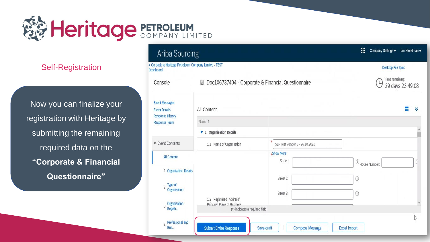

Now you can finalize your registration with Heritage by submitting the remaining required data on the **"Corporate & Financial Questionnaire"**

## Ariba Sourcing

| < Go back to Heritage Petroleum Company Limited - TEST<br>Dashboard      |                                                                                          |                                                             | <b>Desktop File Sync</b>                |  |
|--------------------------------------------------------------------------|------------------------------------------------------------------------------------------|-------------------------------------------------------------|-----------------------------------------|--|
| Console                                                                  | Doc106737404 - Corporate & Financial Questionnaire<br>須                                  |                                                             | Time remaining<br>L<br>29 days 23:49:08 |  |
| <b>Event Messages</b><br><b>Event Details</b><br><b>Response History</b> | All Content                                                                              |                                                             | Ħ<br>K                                  |  |
| <b>Response Team</b>                                                     | Name 1                                                                                   |                                                             |                                         |  |
|                                                                          | <b>v</b> 1 Organisation Details                                                          |                                                             |                                         |  |
| <b>v</b> Event Contents                                                  | 1.1 Name of Organisation                                                                 | SLP Test Vendor 5 - 26.10.2020                              |                                         |  |
| <b>All Content</b>                                                       |                                                                                          | *Show More<br>Street:<br>$\odot$ House Number:              |                                         |  |
| 1 Organisation Details<br>Type of<br>$\overline{2}$                      |                                                                                          | Street 2:<br>$\odot$                                        |                                         |  |
| Organization<br>Organization<br>3<br>Registr                             | 1.2 Registered Address/<br>Princinal Place of Business<br>(*) indicates a required field | Street 3:<br>$\circledcirc$                                 |                                         |  |
|                                                                          |                                                                                          |                                                             | Μý                                      |  |
| Professional and<br>4<br><b>Bus</b>                                      | <b>Submit Entire Response</b>                                                            | <b>Compose Message</b><br><b>Excel Import</b><br>Save draft |                                         |  |

W.

Company Settings v lan Steadman v